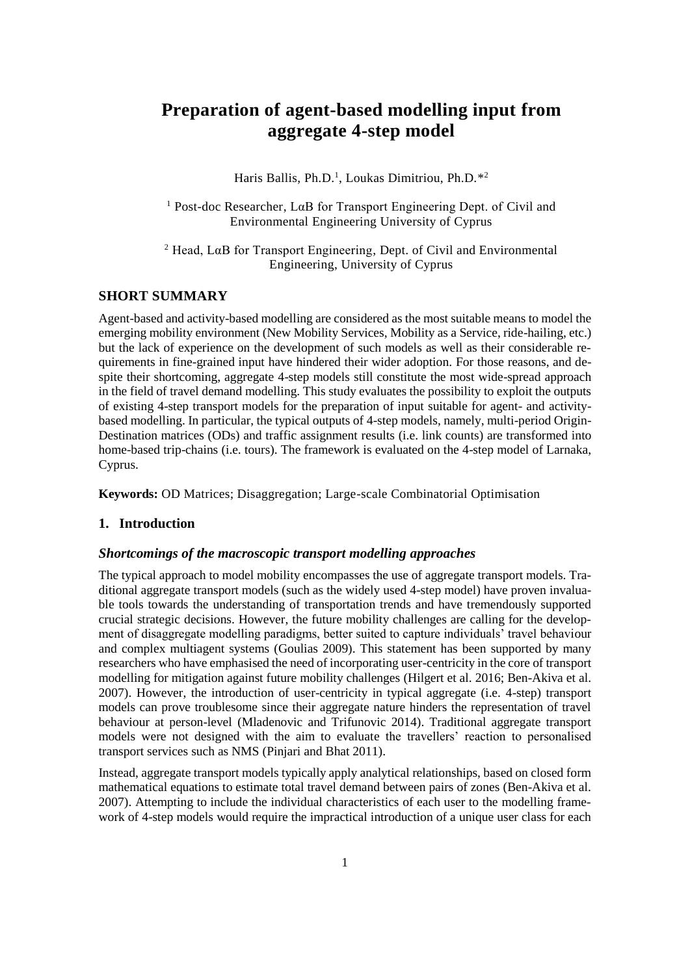# **Preparation of agent-based modelling input from aggregate 4-step model**

Haris Ballis, Ph.D.<sup>1</sup>, Loukas Dimitriou, Ph.D.<sup>\*2</sup>

<sup>1</sup> Post-doc Researcher, LαB for Transport Engineering Dept. of Civil and Environmental Engineering University of Cyprus

<sup>2</sup> Head, LαB for Transport Engineering, Dept. of Civil and Environmental Engineering, University of Cyprus

## **SHORT SUMMARY**

Agent-based and activity-based modelling are considered as the most suitable means to model the emerging mobility environment (New Mobility Services, Mobility as a Service, ride-hailing, etc.) but the lack of experience on the development of such models as well as their considerable requirements in fine-grained input have hindered their wider adoption. For those reasons, and despite their shortcoming, aggregate 4-step models still constitute the most wide-spread approach in the field of travel demand modelling. This study evaluates the possibility to exploit the outputs of existing 4-step transport models for the preparation of input suitable for agent- and activitybased modelling. In particular, the typical outputs of 4-step models, namely, multi-period Origin-Destination matrices (ODs) and traffic assignment results (i.e. link counts) are transformed into home-based trip-chains (i.e. tours). The framework is evaluated on the 4-step model of Larnaka, Cyprus.

**Keywords:** OD Matrices; Disaggregation; Large-scale Combinatorial Optimisation

### **1. Introduction**

## *Shortcomings of the macroscopic transport modelling approaches*

The typical approach to model mobility encompasses the use of aggregate transport models. Traditional aggregate transport models (such as the widely used 4-step model) have proven invaluable tools towards the understanding of transportation trends and have tremendously supported crucial strategic decisions. However, the future mobility challenges are calling for the development of disaggregate modelling paradigms, better suited to capture individuals' travel behaviour and complex multiagent systems (Goulias 2009). This statement has been supported by many researchers who have emphasised the need of incorporating user-centricity in the core of transport modelling for mitigation against future mobility challenges (Hilgert et al. 2016; Ben-Akiva et al. 2007). However, the introduction of user-centricity in typical aggregate (i.e. 4-step) transport models can prove troublesome since their aggregate nature hinders the representation of travel behaviour at person-level (Mladenovic and Trifunovic 2014). Traditional aggregate transport models were not designed with the aim to evaluate the travellers' reaction to personalised transport services such as NMS (Pinjari and Bhat 2011).

Instead, aggregate transport models typically apply analytical relationships, based on closed form mathematical equations to estimate total travel demand between pairs of zones (Ben-Akiva et al. 2007). Attempting to include the individual characteristics of each user to the modelling framework of 4-step models would require the impractical introduction of a unique user class for each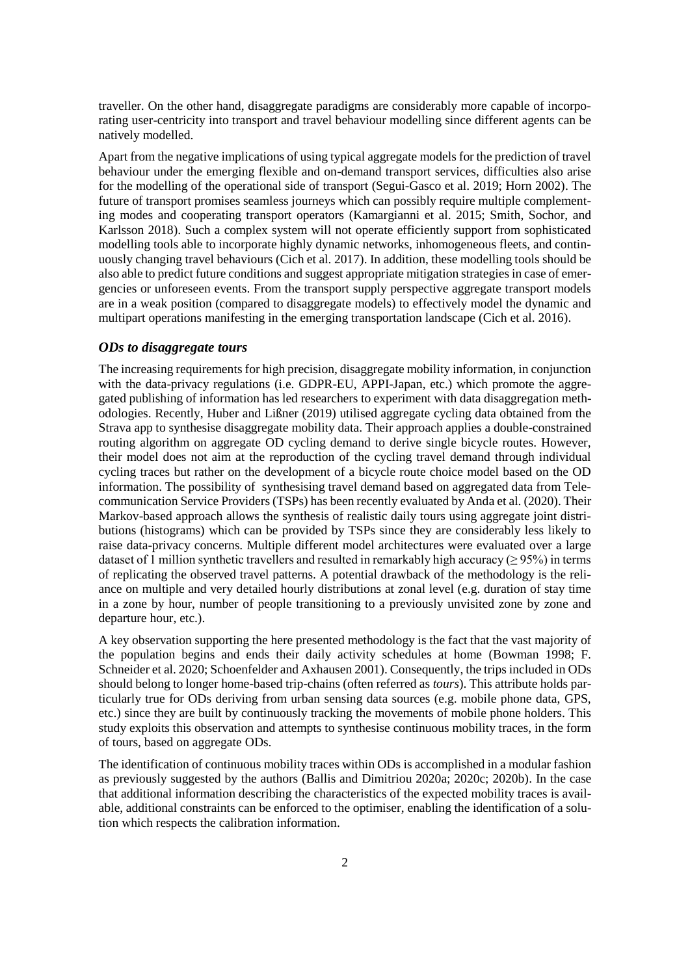traveller. On the other hand, disaggregate paradigms are considerably more capable of incorporating user-centricity into transport and travel behaviour modelling since different agents can be natively modelled.

Apart from the negative implications of using typical aggregate models for the prediction of travel behaviour under the emerging flexible and on-demand transport services, difficulties also arise for the modelling of the operational side of transport (Segui-Gasco et al. 2019; Horn 2002). The future of transport promises seamless journeys which can possibly require multiple complementing modes and cooperating transport operators (Kamargianni et al. 2015; Smith, Sochor, and Karlsson 2018). Such a complex system will not operate efficiently support from sophisticated modelling tools able to incorporate highly dynamic networks, inhomogeneous fleets, and continuously changing travel behaviours (Cich et al. 2017). In addition, these modelling tools should be also able to predict future conditions and suggest appropriate mitigation strategies in case of emergencies or unforeseen events. From the transport supply perspective aggregate transport models are in a weak position (compared to disaggregate models) to effectively model the dynamic and multipart operations manifesting in the emerging transportation landscape (Cich et al. 2016).

## *ODs to disaggregate tours*

The increasing requirements for high precision, disaggregate mobility information, in conjunction with the data-privacy regulations (i.e. GDPR-EU, APPI-Japan, etc.) which promote the aggregated publishing of information has led researchers to experiment with data disaggregation methodologies. Recently, Huber and Lißner (2019) utilised aggregate cycling data obtained from the Strava app to synthesise disaggregate mobility data. Their approach applies a double-constrained routing algorithm on aggregate OD cycling demand to derive single bicycle routes. However, their model does not aim at the reproduction of the cycling travel demand through individual cycling traces but rather on the development of a bicycle route choice model based on the OD information. The possibility of synthesising travel demand based on aggregated data from Telecommunication Service Providers (TSPs) has been recently evaluated by Anda et al. (2020). Their Markov-based approach allows the synthesis of realistic daily tours using aggregate joint distributions (histograms) which can be provided by TSPs since they are considerably less likely to raise data-privacy concerns. Multiple different model architectures were evaluated over a large dataset of 1 million synthetic travellers and resulted in remarkably high accuracy ( $\geq$  95%) in terms of replicating the observed travel patterns. A potential drawback of the methodology is the reliance on multiple and very detailed hourly distributions at zonal level (e.g. duration of stay time in a zone by hour, number of people transitioning to a previously unvisited zone by zone and departure hour, etc.).

A key observation supporting the here presented methodology is the fact that the vast majority of the population begins and ends their daily activity schedules at home (Bowman 1998; F. Schneider et al. 2020; Schoenfelder and Axhausen 2001). Consequently, the trips included in ODs should belong to longer home-based trip-chains (often referred as *tours*). This attribute holds particularly true for ODs deriving from urban sensing data sources (e.g. mobile phone data, GPS, etc.) since they are built by continuously tracking the movements of mobile phone holders. This study exploits this observation and attempts to synthesise continuous mobility traces, in the form of tours, based on aggregate ODs.

The identification of continuous mobility traces within ODs is accomplished in a modular fashion as previously suggested by the authors (Ballis and Dimitriou 2020a; 2020c; 2020b). In the case that additional information describing the characteristics of the expected mobility traces is available, additional constraints can be enforced to the optimiser, enabling the identification of a solution which respects the calibration information.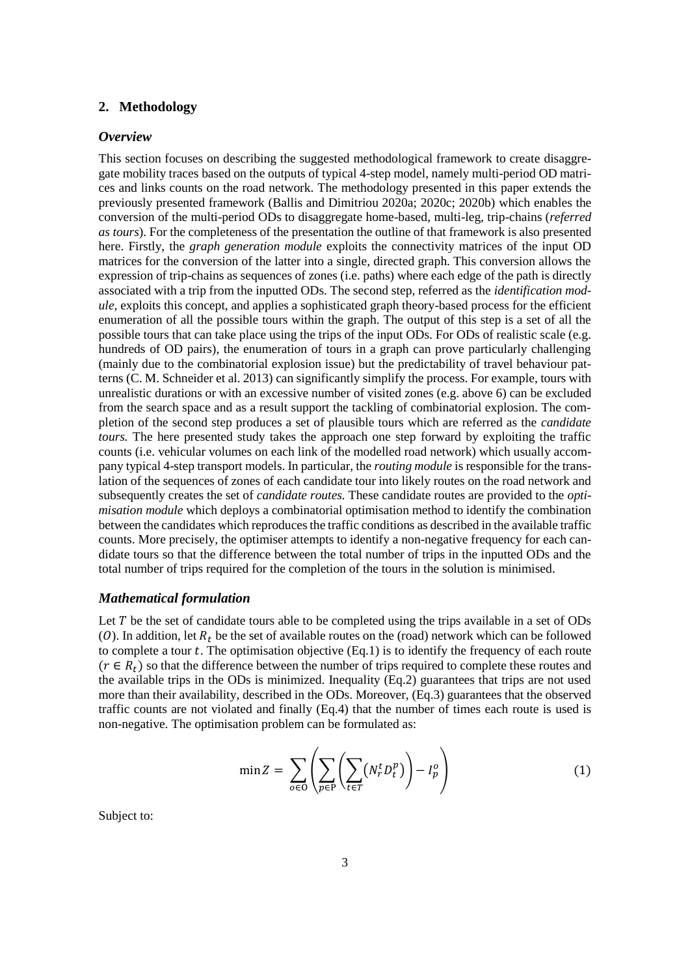## **2. Methodology**

#### *Overview*

This section focuses on describing the suggested methodological framework to create disaggregate mobility traces based on the outputs of typical 4-step model, namely multi-period OD matrices and links counts on the road network. The methodology presented in this paper extends the previously presented framework (Ballis and Dimitriou 2020a; 2020c; 2020b) which enables the conversion of the multi-period ODs to disaggregate home-based, multi-leg, trip-chains (*referred as tours*). For the completeness of the presentation the outline of that framework is also presented here. Firstly, the *graph generation module* exploits the connectivity matrices of the input OD matrices for the conversion of the latter into a single, directed graph. This conversion allows the expression of trip-chains as sequences of zones (i.e. paths) where each edge of the path is directly associated with a trip from the inputted ODs. The second step, referred as the *identification module,* exploits this concept, and applies a sophisticated graph theory-based process for the efficient enumeration of all the possible tours within the graph. The output of this step is a set of all the possible tours that can take place using the trips of the input ODs. For ODs of realistic scale (e.g. hundreds of OD pairs), the enumeration of tours in a graph can prove particularly challenging (mainly due to the combinatorial explosion issue) but the predictability of travel behaviour patterns (C. M. Schneider et al. 2013) can significantly simplify the process. For example, tours with unrealistic durations or with an excessive number of visited zones (e.g. above 6) can be excluded from the search space and as a result support the tackling of combinatorial explosion. The completion of the second step produces a set of plausible tours which are referred as the *candidate tours.* The here presented study takes the approach one step forward by exploiting the traffic counts (i.e. vehicular volumes on each link of the modelled road network) which usually accompany typical 4-step transport models. In particular, the *routing module* is responsible for the translation of the sequences of zones of each candidate tour into likely routes on the road network and subsequently creates the set of *candidate routes.* These candidate routes are provided to the *optimisation module* which deploys a combinatorial optimisation method to identify the combination between the candidates which reproduces the traffic conditions as described in the available traffic counts. More precisely, the optimiser attempts to identify a non-negative frequency for each candidate tours so that the difference between the total number of trips in the inputted ODs and the total number of trips required for the completion of the tours in the solution is minimised.

#### *Mathematical formulation*

Let  $T$  be the set of candidate tours able to be completed using the trips available in a set of ODs (O). In addition, let  $R_t$  be the set of available routes on the (road) network which can be followed to complete a tour  $t$ . The optimisation objective  $(Eq.1)$  is to identify the frequency of each route  $(r \in R_t)$  so that the difference between the number of trips required to complete these routes and the available trips in the ODs is minimized. Inequality (Eq.2) guarantees that trips are not used more than their availability, described in the ODs. Moreover, (Eq.3) guarantees that the observed traffic counts are not violated and finally (Eq.4) that the number of times each route is used is non-negative. The optimisation problem can be formulated as:

$$
\min Z = \sum_{o \in \mathcal{O}} \left( \sum_{p \in \mathcal{P}} \left( \sum_{t \in \mathcal{T}} \left( N_r^t D_t^p \right) \right) - I_p^o \right) \tag{1}
$$

Subject to: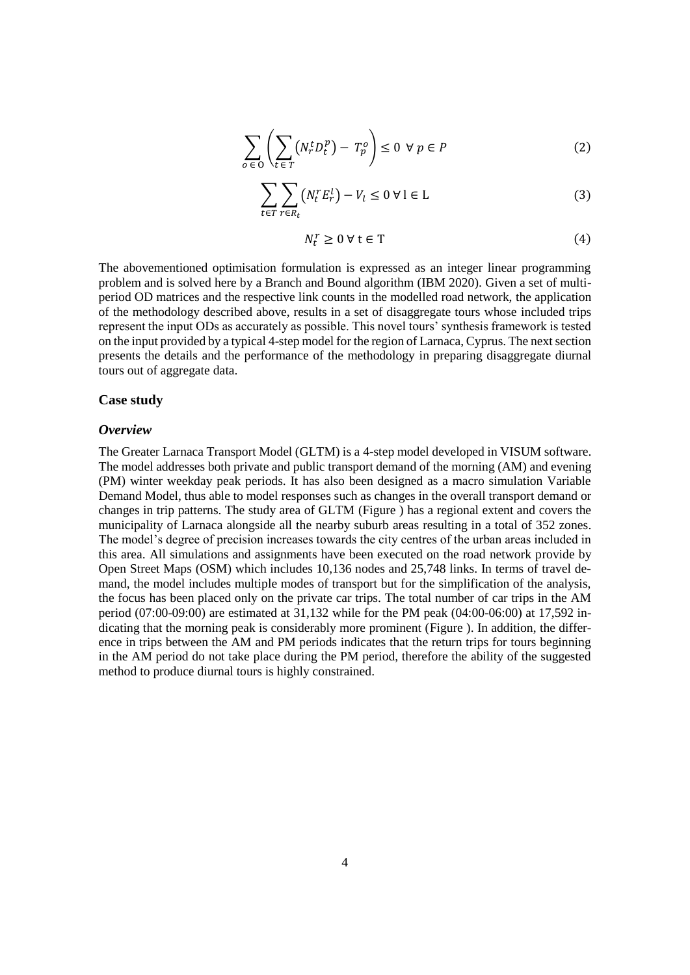$$
\sum_{o \in O} \left( \sum_{t \in T} (N_r^t D_t^p) - T_p^o \right) \le 0 \ \forall \, p \in P \tag{2}
$$

$$
\sum_{t \in T} \sum_{r \in R_t} (N_t^r E_r^l) - V_l \le 0 \,\forall \, l \in L \tag{3}
$$

$$
N_t^r \ge 0 \,\forall \,\mathbf{t} \in \mathbf{T} \tag{4}
$$

The abovementioned optimisation formulation is expressed as an integer linear programming problem and is solved here by a Branch and Bound algorithm (IBM 2020). Given a set of multiperiod OD matrices and the respective link counts in the modelled road network, the application of the methodology described above, results in a set of disaggregate tours whose included trips represent the input ODs as accurately as possible. This novel tours' synthesis framework is tested on the input provided by a typical 4-step model for the region of Larnaca, Cyprus. The next section presents the details and the performance of the methodology in preparing disaggregate diurnal tours out of aggregate data.

#### **Case study**

#### *Overview*

The Greater Larnaca Transport Model (GLTM) is a 4-step model developed in VISUM software. The model addresses both private and public transport demand of the morning (AM) and evening (PM) winter weekday peak periods. It has also been designed as a macro simulation Variable Demand Model, thus able to model responses such as changes in the overall transport demand or changes in trip patterns. The study area of GLTM [\(Figure \)](#page-4-0) has a regional extent and covers the municipality of Larnaca alongside all the nearby suburb areas resulting in a total of 352 zones. The model's degree of precision increases towards the city centres of the urban areas included in this area. All simulations and assignments have been executed on the road network provide by Open Street Maps (OSM) which includes 10,136 nodes and 25,748 links. In terms of travel demand, the model includes multiple modes of transport but for the simplification of the analysis, the focus has been placed only on the private car trips. The total number of car trips in the AM period (07:00-09:00) are estimated at 31,132 while for the PM peak (04:00-06:00) at 17,592 indicating that the morning peak is considerably more prominent [\(Figure \)](#page-4-1). In addition, the difference in trips between the AM and PM periods indicates that the return trips for tours beginning in the AM period do not take place during the PM period, therefore the ability of the suggested method to produce diurnal tours is highly constrained.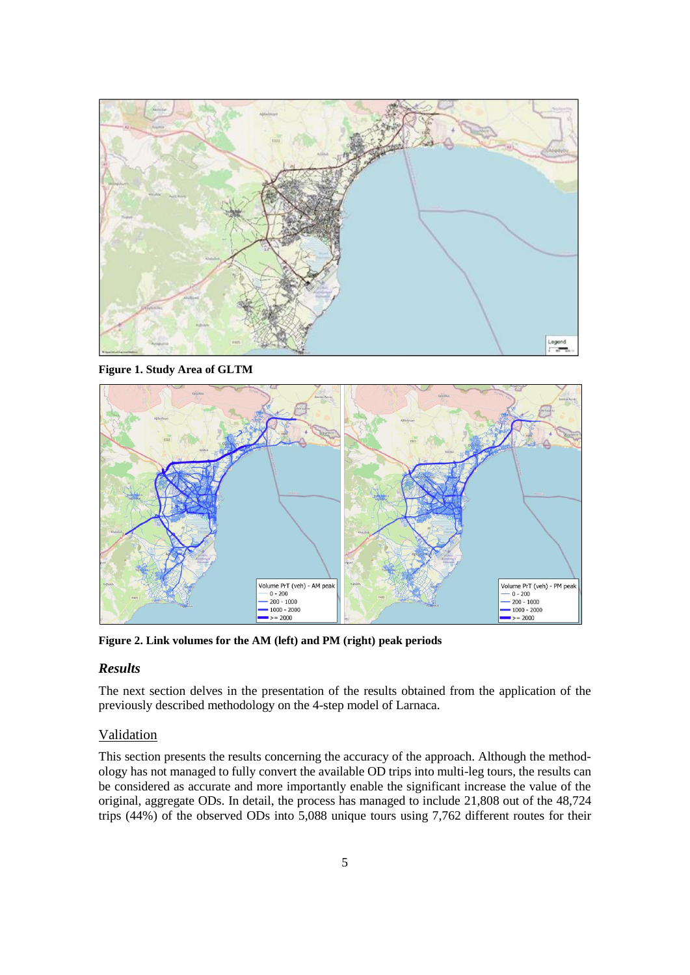

<span id="page-4-0"></span>**Figure 1. Study Area of GLTM**



<span id="page-4-1"></span>**Figure 2. Link volumes for the AM (left) and PM (right) peak periods**

## *Results*

The next section delves in the presentation of the results obtained from the application of the previously described methodology on the 4-step model of Larnaca.

## Validation

This section presents the results concerning the accuracy of the approach. Although the methodology has not managed to fully convert the available OD trips into multi-leg tours, the results can be considered as accurate and more importantly enable the significant increase the value of the original, aggregate ODs. In detail, the process has managed to include 21,808 out of the 48,724 trips (44%) of the observed ODs into 5,088 unique tours using 7,762 different routes for their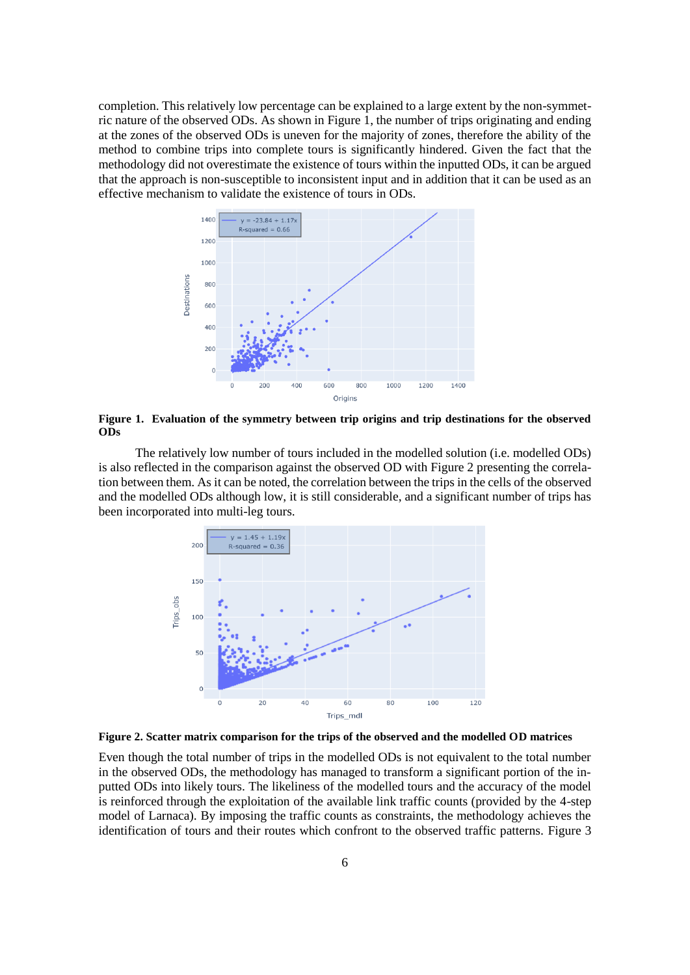completion. This relatively low percentage can be explained to a large extent by the non-symmetric nature of the observed ODs. As shown in [Figure 1,](#page-5-0) the number of trips originating and ending at the zones of the observed ODs is uneven for the majority of zones, therefore the ability of the method to combine trips into complete tours is significantly hindered. Given the fact that the methodology did not overestimate the existence of tours within the inputted ODs, it can be argued that the approach is non-susceptible to inconsistent input and in addition that it can be used as an effective mechanism to validate the existence of tours in ODs.



<span id="page-5-0"></span>**Figure 1. Evaluation of the symmetry between trip origins and trip destinations for the observed ODs**

The relatively low number of tours included in the modelled solution (i.e. modelled ODs) is also reflected in the comparison against the observed OD wit[h Figure 2](#page-5-1) presenting the correlation between them. As it can be noted, the correlation between the trips in the cells of the observed and the modelled ODs although low, it is still considerable, and a significant number of trips has been incorporated into multi-leg tours.



<span id="page-5-1"></span>**Figure 2. Scatter matrix comparison for the trips of the observed and the modelled OD matrices**

Even though the total number of trips in the modelled ODs is not equivalent to the total number in the observed ODs, the methodology has managed to transform a significant portion of the inputted ODs into likely tours. The likeliness of the modelled tours and the accuracy of the model is reinforced through the exploitation of the available link traffic counts (provided by the 4-step model of Larnaca). By imposing the traffic counts as constraints, the methodology achieves the identification of tours and their routes which confront to the observed traffic patterns. [Figure 3](#page-6-0)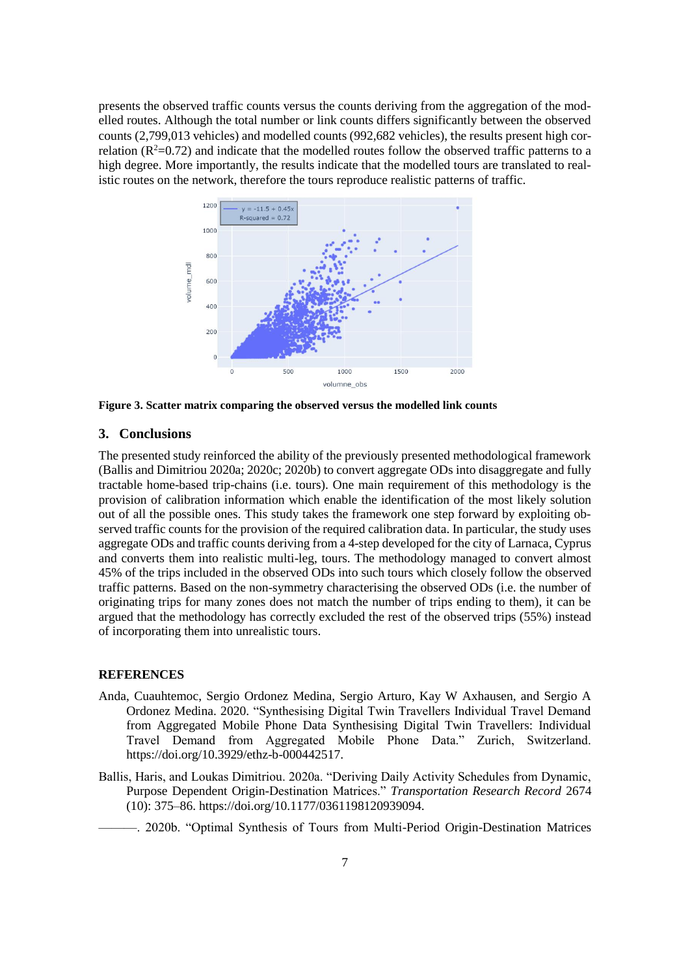presents the observed traffic counts versus the counts deriving from the aggregation of the modelled routes. Although the total number or link counts differs significantly between the observed counts (2,799,013 vehicles) and modelled counts (992,682 vehicles), the results present high correlation  $(R^2=0.72)$  and indicate that the modelled routes follow the observed traffic patterns to a high degree. More importantly, the results indicate that the modelled tours are translated to realistic routes on the network, therefore the tours reproduce realistic patterns of traffic.



<span id="page-6-0"></span>**Figure 3. Scatter matrix comparing the observed versus the modelled link counts**

#### **3. Conclusions**

The presented study reinforced the ability of the previously presented methodological framework (Ballis and Dimitriou 2020a; 2020c; 2020b) to convert aggregate ODs into disaggregate and fully tractable home-based trip-chains (i.e. tours). One main requirement of this methodology is the provision of calibration information which enable the identification of the most likely solution out of all the possible ones. This study takes the framework one step forward by exploiting observed traffic counts for the provision of the required calibration data. In particular, the study uses aggregate ODs and traffic counts deriving from a 4-step developed for the city of Larnaca, Cyprus and converts them into realistic multi-leg, tours. The methodology managed to convert almost 45% of the trips included in the observed ODs into such tours which closely follow the observed traffic patterns. Based on the non-symmetry characterising the observed ODs (i.e. the number of originating trips for many zones does not match the number of trips ending to them), it can be argued that the methodology has correctly excluded the rest of the observed trips (55%) instead of incorporating them into unrealistic tours.

### **REFERENCES**

- Anda, Cuauhtemoc, Sergio Ordonez Medina, Sergio Arturo, Kay W Axhausen, and Sergio A Ordonez Medina. 2020. "Synthesising Digital Twin Travellers Individual Travel Demand from Aggregated Mobile Phone Data Synthesising Digital Twin Travellers: Individual Travel Demand from Aggregated Mobile Phone Data." Zurich, Switzerland. https://doi.org/10.3929/ethz-b-000442517.
- Ballis, Haris, and Loukas Dimitriou. 2020a. "Deriving Daily Activity Schedules from Dynamic, Purpose Dependent Origin-Destination Matrices." *Transportation Research Record* 2674 (10): 375–86. https://doi.org/10.1177/0361198120939094.
	- ———. 2020b. "Optimal Synthesis of Tours from Multi-Period Origin-Destination Matrices